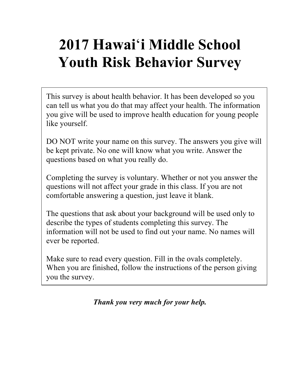# **2017 Hawai**'**i Middle School Youth Risk Behavior Survey**

This survey is about health behavior. It has been developed so you can tell us what you do that may affect your health. The information you give will be used to improve health education for young people like yourself.

DO NOT write your name on this survey. The answers you give will be kept private. No one will know what you write. Answer the questions based on what you really do.

Completing the survey is voluntary. Whether or not you answer the questions will not affect your grade in this class. If you are not comfortable answering a question, just leave it blank.

The questions that ask about your background will be used only to describe the types of students completing this survey. The information will not be used to find out your name. No names will ever be reported.

Make sure to read every question. Fill in the ovals completely. When you are finished, follow the instructions of the person giving you the survey.

*Thank you very much for your help.*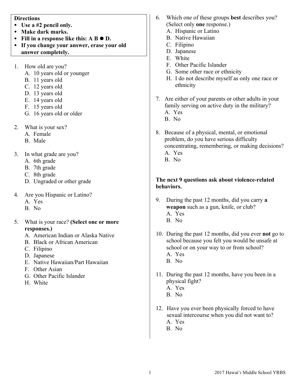#### **Directions**

- **Use a #2 pencil only.**
- **Make dark marks.**
- Fill in a response like this:  $A B \bullet D$ .
- **If you change your answer, erase your old answer completely.**
- 1. How old are you?
	- A. 10 years old or younger
	- B. 11 years old
	- C. 12 years old
	- D. 13 years old
	- E. 14 years old
	- F. 15 years old
	- G. 16 years old or older
- 2. What is your sex?
	- A. Female
	- B. Male
- 3. In what grade are you?
	- A. 6th grade
	- B. 7th grade
	- C. 8th grade
	- D. Ungraded or other grade
- 4. Are you Hispanic or Latino?
	- A. Yes
	- B. No
- 5. What is your race? **(Select one or more responses.)**
	- A. American Indian or Alaska Native
	- B. Black or African American
	- C. Filipino
	- D. Japanese
	- E. Native Hawaiian/Part Hawaiian
	- F. Other Asian
	- G. Other Pacific Islander
	- H. White
- 6. Which one of these groups **best** describes you? (Select only **one** response.)
	- A. Hispanic or Latino
	- B. Native Hawaiian
	- C. Filipino
	- D. Japanese
	- E. White
	- F. Other Pacific Islander
	- G. Some other race or ethnicity
	- H. I do not describe myself as only one race or ethnicity
- 7. Are either of your parents or other adults in your family serving on active duty in the military?
	- A. Yes
	- B. No
- 8. Because of a physical, mental, or emotional problem, do you have serious difficulty concentrating, remembering, or making decisions? A. Yes
	- B. No

### **The next 9 questions ask about violence-related behaviors.**

- 9. During the past 12 months, did you carry **a weapon** such as a gun, knife, or club? A. Yes B. No
- 10. During the past 12 months, did you ever **not** go to school because you felt you would be unsafe at school or on your way to or from school? A. Yes B. No
- 11. During the past 12 months, have you been in a physical fight? A. Yes
	- B. No
- 12. Have you ever been physically forced to have sexual intercourse when you did not want to? A. Yes
	- B. No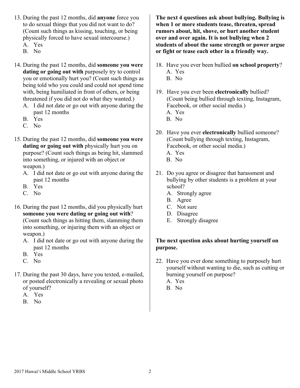- 13. During the past 12 months, did **anyone** force you to do sexual things that you did not want to do? (Count such things as kissing, touching, or being physically forced to have sexual intercourse.)
	- A. Yes
	- B. No
- 14. During the past 12 months, did **someone you were dating or going out with** purposely try to control you or emotionally hurt you? (Count such things as being told who you could and could not spend time with, being humiliated in front of others, or being threatened if you did not do what they wanted.)
	- A. I did not date or go out with anyone during the past 12 months
	- B. Yes
	- C. No
- 15. During the past 12 months, did **someone you were dating or going out with** physically hurt you on purpose? (Count such things as being hit, slammed into something, or injured with an object or weapon.)
	- A. I did not date or go out with anyone during the past 12 months
	- B. Yes
	- C. No
- 16. During the past 12 months, did you physically hurt **someone you were dating or going out with**? (Count such things as hitting them, slamming them into something, or injuring them with an object or weapon.)
	- A. I did not date or go out with anyone during the past 12 months
	- B. Yes
	- C. No
- 17. During the past 30 days, have you texted, e-mailed, or posted electronically a revealing or sexual photo of yourself?
	- A. Yes
	- B. No

**The next 4 questions ask about bullying. Bullying is when 1 or more students tease, threaten, spread rumors about, hit, shove, or hurt another student over and over again. It is not bullying when 2 students of about the same strength or power argue or fight or tease each other in a friendly way.**

- 18. Have you ever been bullied **on school property**? A. Yes
	- B. No
- 19. Have you ever been **electronically** bullied? (Count being bullied through texting, Instagram, Facebook, or other social media.)
	- A. Yes
	- B. No
- 20. Have you ever **electronically** bullied someone? (Count bullying through texting, Instagram, Facebook, or other social media.) A. Yes
	- B. No
- 21. Do you agree or disagree that harassment and bullying by other students is a problem at your school?
	- A. Strongly agree
	- B. Agree
	- C. Not sure
	- D. Disagree
	- E. Strongly disagree

## **The next question asks about hurting yourself on purpose.**

- 22. Have you ever done something to purposely hurt yourself without wanting to die, such as cutting or burning yourself on purpose?
	- A. Yes B. No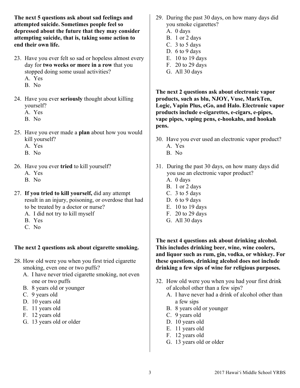**The next 5 questions ask about sad feelings and attempted suicide. Sometimes people feel so depressed about the future that they may consider attempting suicide, that is, taking some action to end their own life.**

- 23. Have you ever felt so sad or hopeless almost every day for **two weeks or more in a row** that you stopped doing some usual activities?
	- A. Yes
	- B. No
- 24. Have you ever **seriously** thought about killing yourself?
	- A. Yes
	- B. No
- 25. Have you ever made a **plan** about how you would kill yourself?
	- A. Yes
	- B. No
- 26. Have you ever **tried** to kill yourself?
	- A. Yes
	- B. No
- 27. **If you tried to kill yourself,** did any attempt result in an injury, poisoning, or overdose that had to be treated by a doctor or nurse?
	- A. I did not try to kill myself
	- B. Yes
	- C. No

## **The next 2 questions ask about cigarette smoking.**

- 28. How old were you when you first tried cigarette smoking, even one or two puffs?
	- A. I have never tried cigarette smoking, not even one or two puffs
	- B. 8 years old or younger
	- C. 9 years old
	- D. 10 years old
	- E. 11 years old
	- F. 12 years old
	- G. 13 years old or older
- 29. During the past 30 days, on how many days did you smoke cigarettes?
	- A. 0 days
	- B. 1 or 2 days
	- C. 3 to 5 days
	- D. 6 to 9 days
	- E. 10 to 19 days
	- F. 20 to 29 days
	- G. All 30 days

**The next 2 questions ask about electronic vapor products, such as blu, NJOY, Vuse, MarkTen, Logic, Vapin Plus, eGo, and Halo. Electronic vapor products include e-cigarettes, e-cigars, e-pipes, vape pipes, vaping pens, e-hookahs, and hookah pens.**

- 30. Have you ever used an electronic vapor product? A. Yes
	- B. No
- 31. During the past 30 days, on how many days did you use an electronic vapor product?
	- A. 0 days
	- B. 1 or 2 days
	- C. 3 to 5 days
	- D. 6 to 9 days
	- E. 10 to 19 days
	- F. 20 to 29 days
	- G. All 30 days

**The next 4 questions ask about drinking alcohol. This includes drinking beer, wine, wine coolers, and liquor such as rum, gin, vodka, or whiskey. For these questions, drinking alcohol does not include drinking a few sips of wine for religious purposes.**

- 32. How old were you when you had your first drink of alcohol other than a few sips?
	- A. I have never had a drink of alcohol other than a few sips
	- B. 8 years old or younger
	- C. 9 years old
	- D. 10 years old
	- E. 11 years old
	- F. 12 years old
	- G. 13 years old or older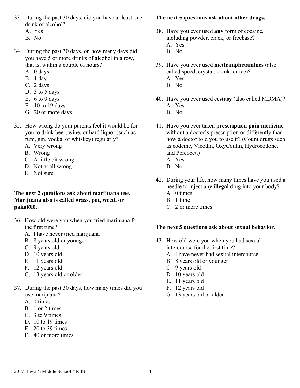- 33. During the past 30 days, did you have at least one drink of alcohol?
	- A. Yes
	- B. No
- 34. During the past 30 days, on how many days did you have 5 or more drinks of alcohol in a row, that is, within a couple of hours?
	- A. 0 days
	- B. 1 day
	- C. 2 days
	- D. 3 to 5 days
	- E. 6 to 9 days
	- F. 10 to 19 days
	- G. 20 or more days
- 35. How wrong do your parents feel it would be for you to drink beer, wine, or hard liquor (such as rum, gin, vodka, or whiskey) regularly?
	- A. Very wrong
	- B. Wrong
	- C. A little bit wrong
	- D. Not at all wrong
	- E. Not sure

#### **The next 2 questions ask about marijuana use. Marijuana also is called grass, pot, weed, or pakalōlō.**

- 36. How old were you when you tried marijuana for the first time?
	- A. I have never tried marijuana
	- B. 8 years old or younger
	- C. 9 years old
	- D. 10 years old
	- E. 11 years old
	- F. 12 years old
	- G. 13 years old or older
- 37. During the past 30 days, how many times did you use marijuana?
	- A. 0 times
	- B. 1 or 2 times
	- C. 3 to 9 times
	- D. 10 to 19 times
	- E. 20 to 39 times
	- F. 40 or more times

## **The next 5 questions ask about other drugs.**

- 38. Have you ever used **any** form of cocaine, including powder, crack, or freebase?
	- A. Yes
	- B. No
- 39. Have you ever used **methamphetamines** (also called speed, crystal, crank, or ice)? A. Yes
	- B. No
- 40. Have you ever used **ecstasy** (also called MDMA)? A. Yes
	- B. No
- 41. Have you ever taken **prescription pain medicine** without a doctor's prescription or differently than how a doctor told you to use it? (Count drugs such as codeine, Vicodin, OxyContin, Hydrocodone, and Percocet.)
	- A. Yes
	- B. No
- 42. During your life, how many times have you used a needle to inject any **illegal** drug into your body?
	- A. 0 times
	- B. 1 time
	- C. 2 or more times

## **The next 5 questions ask about sexual behavior.**

- 43. How old were you when you had sexual intercourse for the first time?
	- A. I have never had sexual intercourse
	- B. 8 years old or younger
	- C. 9 years old
	- D. 10 years old
	- E. 11 years old
	- F. 12 years old
	- G. 13 years old or older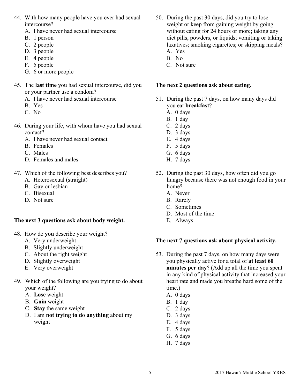- 44. With how many people have you ever had sexual intercourse?
	- A. I have never had sexual intercourse
	- B. 1 person
	- C. 2 people
	- D. 3 people
	- E. 4 people
	- F. 5 people
	- G. 6 or more people
- 45. The **last time** you had sexual intercourse, did you or your partner use a condom?
	- A. I have never had sexual intercourse
	- B. Yes
	- C. No
- 46. During your life, with whom have you had sexual contact?
	- A. I have never had sexual contact
	- B. Females
	- C. Males
	- D. Females and males
- 47. Which of the following best describes you?
	- A. Heterosexual (straight)
	- B. Gay or lesbian
	- C. Bisexual
	- D. Not sure

## **The next 3 questions ask about body weight.**

- 48. How do **you** describe your weight?
	- A. Very underweight
	- B. Slightly underweight
	- C. About the right weight
	- D. Slightly overweight
	- E. Very overweight
- 49. Which of the following are you trying to do about your weight?
	- A. **Lose** weight
	- B. **Gain** weight
	- C. **Stay** the same weight
	- D. I am **not trying to do anything** about my weight
- 50. During the past 30 days, did you try to lose weight or keep from gaining weight by going without eating for 24 hours or more; taking any diet pills, powders, or liquids; vomiting or taking laxatives; smoking cigarettes; or skipping meals? A. Yes
	- B. No
	-
	- C. Not sure

#### **The next 2 questions ask about eating.**

- 51. During the past 7 days, on how many days did you eat **breakfast**?
	- A. 0 days
	- B. 1 day
	- C. 2 days
	- D. 3 days
	- E. 4 days
	- F. 5 days
	- G. 6 days
	- H. 7 days
- 52. During the past 30 days, how often did you go hungry because there was not enough food in your home?
	- A. Never
	- B. Rarely
	- C. Sometimes
	- D. Most of the time
	- E. Always

#### **The next 7 questions ask about physical activity.**

- 53. During the past 7 days, on how many days were you physically active for a total of **at least 60 minutes per day**? (Add up all the time you spent in any kind of physical activity that increased your heart rate and made you breathe hard some of the time.)
	- A. 0 days
	- B. 1 day
	- C. 2 days
	- D. 3 days
	- E. 4 days
	- F. 5 days
	- G. 6 days
	- H. 7 days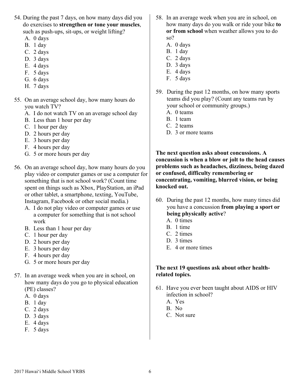- 54. During the past 7 days, on how many days did you do exercises to **strengthen or tone your muscles**, such as push-ups, sit-ups, or weight lifting?
	- A. 0 days
	- B. 1 day
	- C. 2 days
	- D. 3 days
	- E. 4 days
	- F. 5 days
	- G. 6 days
	- H. 7 days
- 55. On an average school day, how many hours do you watch TV?
	- A. I do not watch TV on an average school day
	- B. Less than 1 hour per day
	- C. 1 hour per day
	- D. 2 hours per day
	- E. 3 hours per day
	- F. 4 hours per day
	- G. 5 or more hours per day
- 56. On an average school day, how many hours do you play video or computer games or use a computer for something that is not school work? (Count time spent on things such as Xbox, PlayStation, an iPad or other tablet, a smartphone, texting, YouTube, Instagram, Facebook or other social media.)
	- A. I do not play video or computer games or use a computer for something that is not school work
	- B. Less than 1 hour per day
	- C. 1 hour per day
	- D. 2 hours per day
	- E. 3 hours per day
	- F. 4 hours per day
	- G. 5 or more hours per day
- 57. In an average week when you are in school, on how many days do you go to physical education (PE) classes?
	- A. 0 days
	- B. 1 day
	- C. 2 days
	- D. 3 days
	- E. 4 days
	- F. 5 days
- 58. In an average week when you are in school, on how many days do you walk or ride your bike **to or from school** when weather allows you to do so?
	- A. 0 days
	- B. 1 day
	- C. 2 days
	- D. 3 days
	- E. 4 days
	- F. 5 days
- 59. During the past 12 months, on how many sports teams did you play? (Count any teams run by your school or community groups.)
	- A. 0 teams
	- B. 1 team
	- C. 2 teams
	- D. 3 or more teams

**The next question asks about concussions. A concussion is when a blow or jolt to the head causes problems such as headaches, dizziness, being dazed or confused, difficulty remembering or concentrating, vomiting, blurred vision, or being knocked out.**

- 60. During the past 12 months, how many times did you have a concussion **from playing a sport or being physically active**?
	- A. 0 times
	- B. 1 time
	- C. 2 times
	- D. 3 times
	- E. 4 or more times

#### **The next 19 questions ask about other healthrelated topics.**

- 61. Have you ever been taught about AIDS or HIV infection in school?
	- A. Yes
	- B. No
	- C. Not sure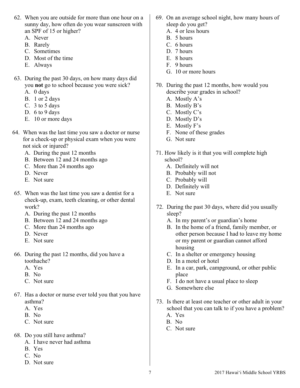- 62. When you are outside for more than one hour on a sunny day, how often do you wear sunscreen with an SPF of 15 or higher?
	- A. Never
	- B. Rarely
	- C. Sometimes
	- D. Most of the time
	- E. Always
- 63. During the past 30 days, on how many days did you **not** go to school because you were sick?
	- A. 0 days
	- B. 1 or 2 days
	- C. 3 to 5 days
	- D. 6 to 9 days
	- E. 10 or more days
- 64. When was the last time you saw a doctor or nurse for a check-up or physical exam when you were not sick or injured?
	- A. During the past 12 months
	- B. Between 12 and 24 months ago
	- C. More than 24 months ago
	- D. Never
	- E. Not sure
- 65. When was the last time you saw a dentist for a check-up, exam, teeth cleaning, or other dental work?
	- A. During the past 12 months
	- B. Between 12 and 24 months ago
	- C. More than 24 months ago
	- D. Never
	- E. Not sure
- 66. During the past 12 months, did you have a toothache?
	- A. Yes
	- B. No
	- C. Not sure
- 67. Has a doctor or nurse ever told you that you have asthma?
	- A. Yes
	- B. No
	- C. Not sure
- 68. Do you still have asthma?
	- A. I have never had asthma
	- B. Yes
	- C. No
	- D. Not sure
- 69. On an average school night, how many hours of sleep do you get?
	- A. 4 or less hours
	- B. 5 hours
	- C. 6 hours
	- D. 7 hours
	- E. 8 hours
	- F. 9 hours
	- G. 10 or more hours
- 70. During the past 12 months, how would you describe your grades in school?
	- A. Mostly A's
	- B. Mostly B's
	- C. Mostly C's
	- D. Mostly D's
	- E. Mostly F's
	- F. None of these grades
	- G. Not sure
- 71. How likely is it that you will complete high school?
	- A. Definitely will not
	- B. Probably will not
	- C. Probably will
	- D. Definitely will
	- E. Not sure
- 72. During the past 30 days, where did you usually sleep?
	- A. In my parent's or guardian's home
	- B. In the home of a friend, family member, or other person because I had to leave my home or my parent or guardian cannot afford housing
	- C. In a shelter or emergency housing
	- D. In a motel or hotel
	- E. In a car, park, campground, or other public place
	- F. I do not have a usual place to sleep
	- G. Somewhere else
- 73. Is there at least one teacher or other adult in your school that you can talk to if you have a problem?
	- A. Yes
	- B. No
	- C. Not sure